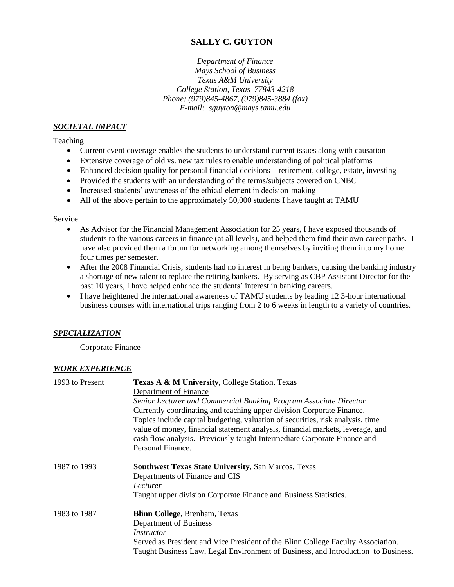# **SALLY C. GUYTON**

*Department of Finance Mays School of Business Texas A&M University College Station, Texas 77843-4218 Phone: (979)845-4867, (979)845-3884 (fax) E-mail: sguyton@mays.tamu.edu*

#### *SOCIETAL IMPACT*

Teaching

- Current event coverage enables the students to understand current issues along with causation
- Extensive coverage of old vs. new tax rules to enable understanding of political platforms
- Enhanced decision quality for personal financial decisions retirement, college, estate, investing
- Provided the students with an understanding of the terms/subjects covered on CNBC
- Increased students' awareness of the ethical element in decision-making
- All of the above pertain to the approximately 50,000 students I have taught at TAMU

#### Service

- As Advisor for the Financial Management Association for 25 years, I have exposed thousands of students to the various careers in finance (at all levels), and helped them find their own career paths. I have also provided them a forum for networking among themselves by inviting them into my home four times per semester.
- After the 2008 Financial Crisis, students had no interest in being bankers, causing the banking industry a shortage of new talent to replace the retiring bankers. By serving as CBP Assistant Director for the past 10 years, I have helped enhance the students' interest in banking careers.
- I have heightened the international awareness of TAMU students by leading 12 3-hour international business courses with international trips ranging from 2 to 6 weeks in length to a variety of countries.

## *SPECIALIZATION*

Corporate Finance

## *WORK EXPERIENCE*

| 1993 to Present | Texas A & M University, College Station, Texas                                                                                                                                                                                               |
|-----------------|----------------------------------------------------------------------------------------------------------------------------------------------------------------------------------------------------------------------------------------------|
|                 | Department of Finance                                                                                                                                                                                                                        |
|                 | Senior Lecturer and Commercial Banking Program Associate Director                                                                                                                                                                            |
|                 | Currently coordinating and teaching upper division Corporate Finance.                                                                                                                                                                        |
|                 | Topics include capital budgeting, valuation of securities, risk analysis, time<br>value of money, financial statement analysis, financial markets, leverage, and<br>cash flow analysis. Previously taught Intermediate Corporate Finance and |
|                 | Personal Finance.                                                                                                                                                                                                                            |
| 1987 to 1993    | <b>Southwest Texas State University, San Marcos, Texas</b>                                                                                                                                                                                   |
|                 | Departments of Finance and CIS                                                                                                                                                                                                               |
|                 | Lecturer                                                                                                                                                                                                                                     |
|                 | Taught upper division Corporate Finance and Business Statistics.                                                                                                                                                                             |
| 1983 to 1987    | <b>Blinn College, Brenham, Texas</b>                                                                                                                                                                                                         |
|                 | Department of Business                                                                                                                                                                                                                       |
|                 | Instructor                                                                                                                                                                                                                                   |
|                 | Served as President and Vice President of the Blinn College Faculty Association.                                                                                                                                                             |
|                 | Taught Business Law, Legal Environment of Business, and Introduction to Business.                                                                                                                                                            |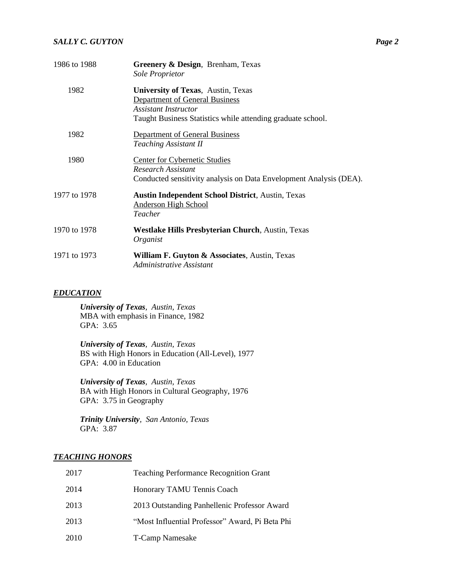| 1986 to 1988 | Greenery & Design, Brenham, Texas<br>Sole Proprietor                                                                                                                      |
|--------------|---------------------------------------------------------------------------------------------------------------------------------------------------------------------------|
| 1982         | <b>University of Texas, Austin, Texas</b><br><b>Department of General Business</b><br>Assistant Instructor<br>Taught Business Statistics while attending graduate school. |
| 1982         | <b>Department of General Business</b><br><b>Teaching Assistant II</b>                                                                                                     |
| 1980         | Center for Cybernetic Studies<br>Research Assistant<br>Conducted sensitivity analysis on Data Envelopment Analysis (DEA).                                                 |
| 1977 to 1978 | <b>Austin Independent School District, Austin, Texas</b><br><b>Anderson High School</b><br>Teacher                                                                        |
| 1970 to 1978 | <b>Westlake Hills Presbyterian Church, Austin, Texas</b><br>Organist                                                                                                      |
| 1971 to 1973 | William F. Guyton & Associates, Austin, Texas<br>Administrative Assistant                                                                                                 |

#### *EDUCATION*

*University of Texas, Austin, Texas*  MBA with emphasis in Finance, 1982 GPA: 3.65

*University of Texas, Austin, Texas*  BS with High Honors in Education (All-Level), 1977 GPA: 4.00 in Education

*University of Texas, Austin, Texas*  BA with High Honors in Cultural Geography, 1976 GPA: 3.75 in Geography

*Trinity University, San Antonio, Texas* GPA: 3.87

## *TEACHING HONORS*

| 2017 | <b>Teaching Performance Recognition Grant</b>   |
|------|-------------------------------------------------|
| 2014 | Honorary TAMU Tennis Coach                      |
| 2013 | 2013 Outstanding Panhellenic Professor Award    |
| 2013 | "Most Influential Professor" Award, Pi Beta Phi |
| 2010 | <b>T-Camp Namesake</b>                          |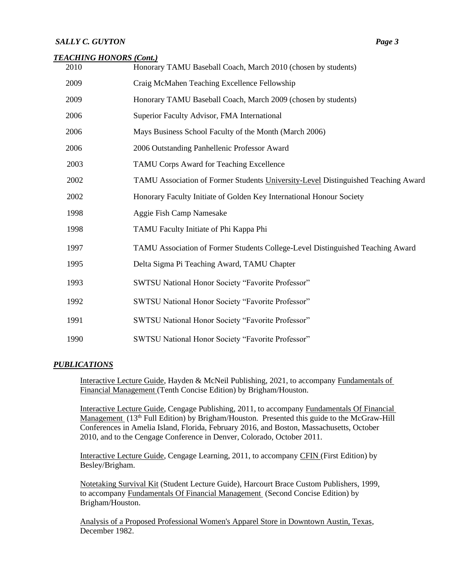#### *TEACHING HONORS (Cont.)*

| 2010 | Honorary TAMU Baseball Coach, March 2010 (chosen by students)                     |
|------|-----------------------------------------------------------------------------------|
| 2009 | Craig McMahen Teaching Excellence Fellowship                                      |
| 2009 | Honorary TAMU Baseball Coach, March 2009 (chosen by students)                     |
| 2006 | Superior Faculty Advisor, FMA International                                       |
| 2006 | Mays Business School Faculty of the Month (March 2006)                            |
| 2006 | 2006 Outstanding Panhellenic Professor Award                                      |
| 2003 | TAMU Corps Award for Teaching Excellence                                          |
| 2002 | TAMU Association of Former Students University-Level Distinguished Teaching Award |
| 2002 | Honorary Faculty Initiate of Golden Key International Honour Society              |
| 1998 | Aggie Fish Camp Namesake                                                          |
| 1998 | TAMU Faculty Initiate of Phi Kappa Phi                                            |
| 1997 | TAMU Association of Former Students College-Level Distinguished Teaching Award    |
| 1995 | Delta Sigma Pi Teaching Award, TAMU Chapter                                       |
| 1993 | SWTSU National Honor Society "Favorite Professor"                                 |
| 1992 | SWTSU National Honor Society "Favorite Professor"                                 |
| 1991 | SWTSU National Honor Society "Favorite Professor"                                 |
| 1990 | SWTSU National Honor Society "Favorite Professor"                                 |

## *PUBLICATIONS*

Interactive Lecture Guide, Hayden & McNeil Publishing, 2021, to accompany Fundamentals of Financial Management (Tenth Concise Edition) by Brigham/Houston.

Interactive Lecture Guide, Cengage Publishing, 2011, to accompany Fundamentals Of Financial Management (13<sup>th</sup> Full Edition) by Brigham/Houston. Presented this guide to the McGraw-Hill Conferences in Amelia Island, Florida, February 2016, and Boston, Massachusetts, October 2010, and to the Cengage Conference in Denver, Colorado, October 2011.

Interactive Lecture Guide, Cengage Learning, 2011, to accompany CFIN (First Edition) by Besley/Brigham.

Notetaking Survival Kit (Student Lecture Guide), Harcourt Brace Custom Publishers, 1999, to accompany Fundamentals Of Financial Management (Second Concise Edition) by Brigham/Houston.

Analysis of a Proposed Professional Women's Apparel Store in Downtown Austin, Texas, December 1982.